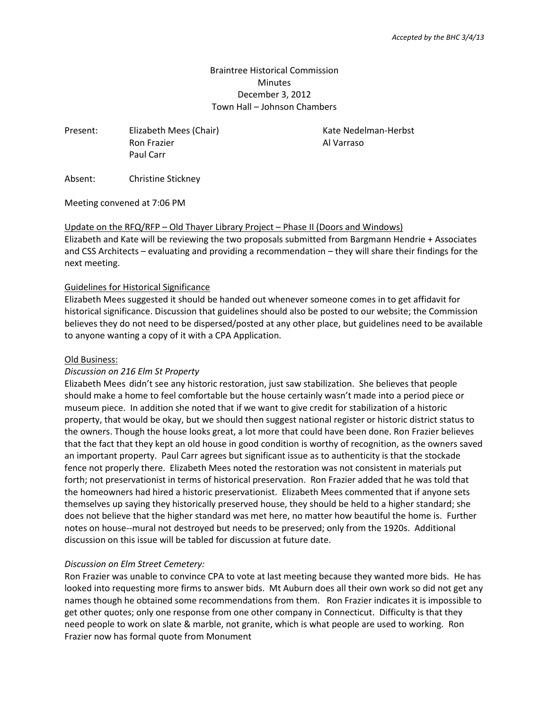# Braintree Historical Commission **Minutes** December 3, 2012 Town Hall – Johnson Chambers

Present: Elizabeth Mees (Chair) Meer Mate Nedelman-Herbst Ron Frazier **Al Varraso** Paul Carr

Absent: Christine Stickney

Meeting convened at 7:06 PM

#### Update on the RFQ/RFP – Old Thayer Library Project – Phase II (Doors and Windows)

Elizabeth and Kate will be reviewing the two proposals submitted from Bargmann Hendrie + Associates and CSS Architects – evaluating and providing a recommendation – they will share their findings for the next meeting.

#### Guidelines for Historical Significance

Elizabeth Mees suggested it should be handed out whenever someone comes in to get affidavit for historical significance. Discussion that guidelines should also be posted to our website; the Commission believes they do not need to be dispersed/posted at any other place, but guidelines need to be available to anyone wanting a copy of it with a CPA Application.

#### Old Business:

#### *Discussion on 216 Elm St Property*

Elizabeth Mees didn't see any historic restoration, just saw stabilization. She believes that people should make a home to feel comfortable but the house certainly wasn't made into a period piece or museum piece. In addition she noted that if we want to give credit for stabilization of a historic property, that would be okay, but we should then suggest national register or historic district status to the owners. Though the house looks great, a lot more that could have been done. Ron Frazier believes that the fact that they kept an old house in good condition is worthy of recognition, as the owners saved an important property. Paul Carr agrees but significant issue as to authenticity is that the stockade fence not properly there. Elizabeth Mees noted the restoration was not consistent in materials put forth; not preservationist in terms of historical preservation. Ron Frazier added that he was told that the homeowners had hired a historic preservationist. Elizabeth Mees commented that if anyone sets themselves up saying they historically preserved house, they should be held to a higher standard; she does not believe that the higher standard was met here, no matter how beautiful the home is. Further notes on house--mural not destroyed but needs to be preserved; only from the 1920s. Additional discussion on this issue will be tabled for discussion at future date.

#### *Discussion on Elm Street Cemetery:*

Ron Frazier was unable to convince CPA to vote at last meeting because they wanted more bids. He has looked into requesting more firms to answer bids. Mt Auburn does all their own work so did not get any names though he obtained some recommendations from them. Ron Frazier indicates it is impossible to get other quotes; only one response from one other company in Connecticut. Difficulty is that they need people to work on slate & marble, not granite, which is what people are used to working. Ron Frazier now has formal quote from Monument